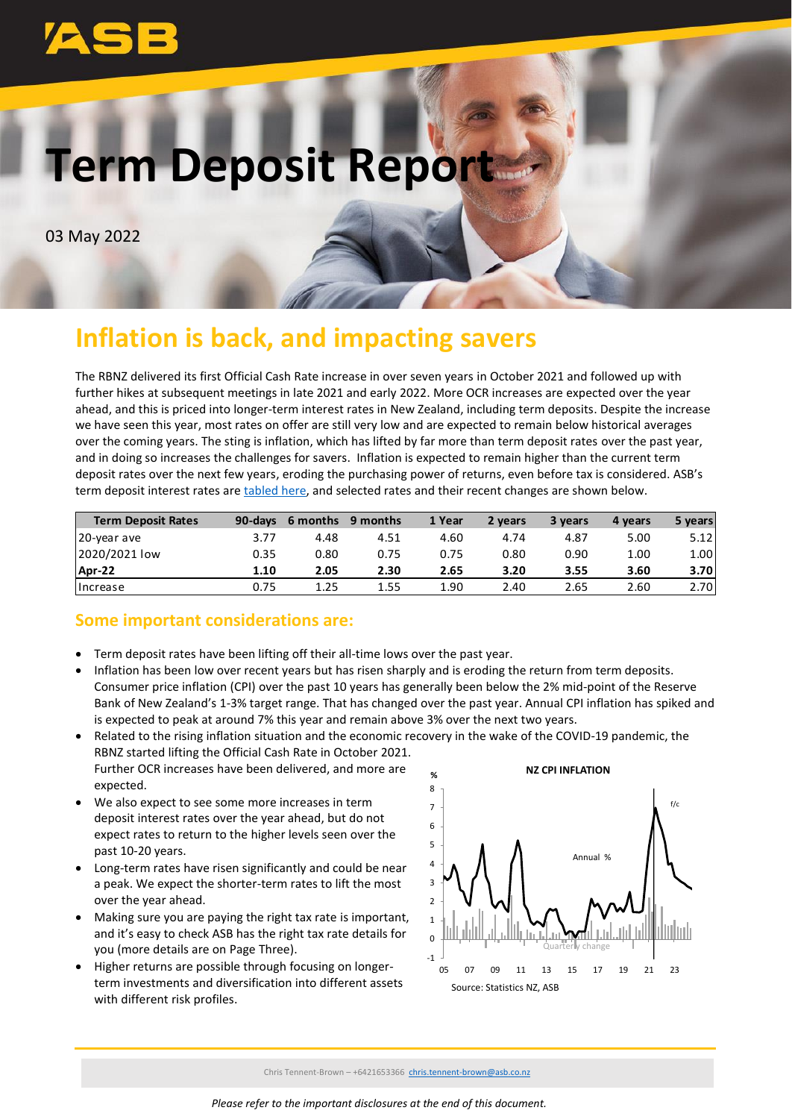# **Term Deposit Report**

03 May 2022

## **Inflation is back, and impacting savers**

The RBNZ delivered its first Official Cash Rate increase in over seven years in October 2021 and followed up with further hikes at subsequent meetings in late 2021 and early 2022. More OCR increases are expected over the year ahead, and this is priced into longer-term interest rates in New Zealand, including term deposits. Despite the increase we have seen this year, most rates on offer are still very low and are expected to remain below historical averages over the coming years. The sting is inflation, which has lifted by far more than term deposit rates over the past year, and in doing so increases the challenges for savers. Inflation is expected to remain higher than the current term deposit rates over the next few years, eroding the purchasing power of returns, even before tax is considered. ASB's term deposit interest rates ar[e tabled here,](https://www.asb.co.nz/term-investments/term-investment-rates.html) and selected rates and their recent changes are shown below.

| <b>Term Deposit Rates</b> |      | 90-days 6 months | 9 months | 1 Year | 2 years | 3 years | 4 years | 5 years |
|---------------------------|------|------------------|----------|--------|---------|---------|---------|---------|
| 20-year ave               | 3.77 | 4.48             | 4.51     | 4.60   | 4.74    | 4.87    | 5.00    | 5.12    |
| 2020/2021 low             | 0.35 | 0.80             | 0.75     | 0.75   | 0.80    | 0.90    | 1.00    | 1.00    |
| Apr-22                    | 1.10 | 2.05             | 2.30     | 2.65   | 3.20    | 3.55    | 3.60    | 3.70    |
| <b>Ilncrease</b>          | 0.75 | 1.25             | 1.55     | 1.90   | 2.40    | 2.65    | 2.60    | 2.70    |

## **Some important considerations are:**

- Term deposit rates have been lifting off their all-time lows over the past year.
- Inflation has been low over recent years but has risen sharply and is eroding the return from term deposits. Consumer price inflation (CPI) over the past 10 years has generally been below the 2% mid-point of the Reserve Bank of New Zealand's 1-3% target range. That has changed over the past year. Annual CPI inflation has spiked and is expected to peak at around 7% this year and remain above 3% over the next two years.
- Related to the rising inflation situation and the economic recovery in the wake of the COVID-19 pandemic, the RBNZ started lifting the Official Cash Rate in October 2021. Further OCR increases have been delivered, and more are expected.
- We also expect to see some more increases in term deposit interest rates over the year ahead, but do not expect rates to return to the higher levels seen over the past 10-20 years.
- Long-term rates have risen significantly and could be near a peak. We expect the shorter-term rates to lift the most over the year ahead.
- Making sure you are paying the right tax rate is important, and it's easy to check ASB has the right tax rate details for you (more details are on Page Three).
- Higher returns are possible through focusing on longerterm investments and diversification into different assets with different risk profiles.

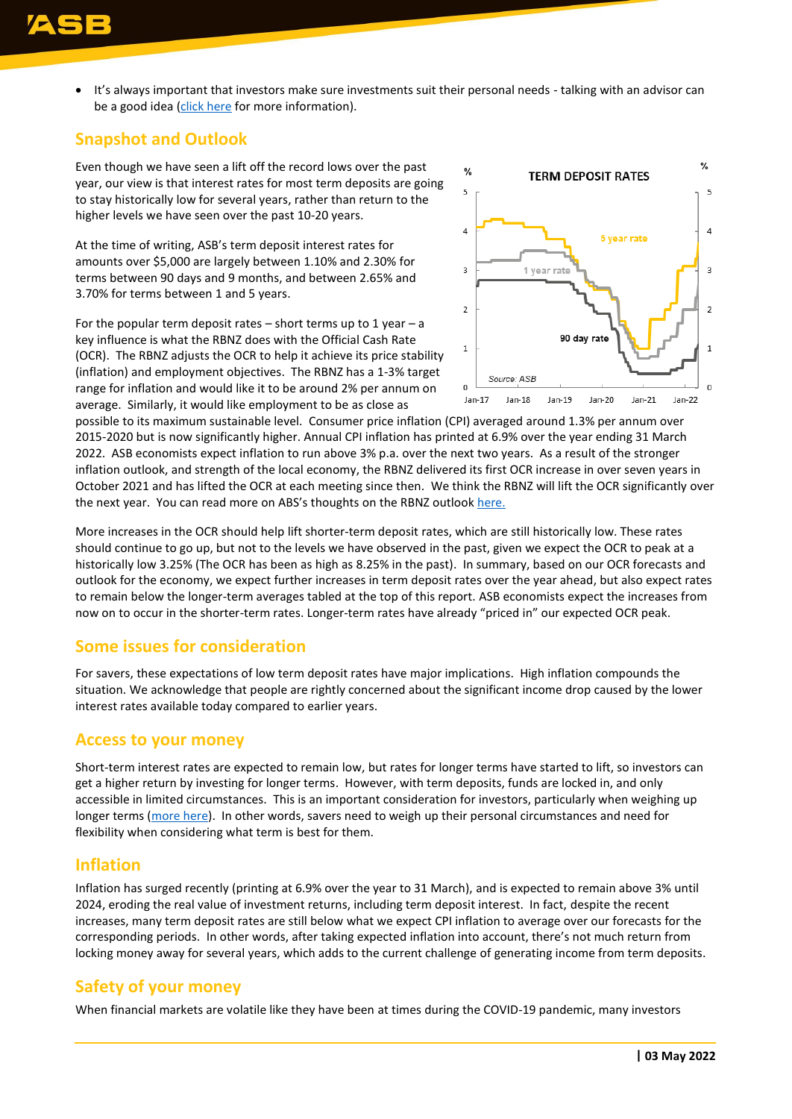• It's always important that investors make sure investments suit their personal needs - talking with an advisor can be a good idea [\(click here](https://www.asb.co.nz/investment-advice/podcast.html?ef_id=EAIaIQobChMIzPujmJ3m8wIVGAkrCh1tHAHMEAAYASAAEgK98_D_BwE:G:s&s_kwcid=AL!7833!3!362499977246!b!!g!!%2Binvestment%20%2Bpodcast&gclid=EAIaIQobChMIzPujmJ3m8wIVGAkrCh1tHAHMEAAYASAAEgK98_D_BwE) for more information).

## **Snapshot and Outlook**

Even though we have seen a lift off the record lows over the past year, our view is that interest rates for most term deposits are going to stay historically low for several years, rather than return to the higher levels we have seen over the past 10-20 years.

At the time of writing, ASB's term deposit interest rates for amounts over \$5,000 are largely between 1.10% and 2.30% for terms between 90 days and 9 months, and between 2.65% and 3.70% for terms between 1 and 5 years.

For the popular term deposit rates – short terms up to 1 year – a key influence is what the RBNZ does with the Official Cash Rate (OCR). The RBNZ adjusts the OCR to help it achieve its price stability (inflation) and employment objectives. The RBNZ has a 1-3% target range for inflation and would like it to be around 2% per annum on average. Similarly, it would like employment to be as close as



possible to its maximum sustainable level. Consumer price inflation (CPI) averaged around 1.3% per annum over 2015-2020 but is now significantly higher. Annual CPI inflation has printed at 6.9% over the year ending 31 March 2022. ASB economists expect inflation to run above 3% p.a. over the next two years. As a result of the stronger inflation outlook, and strength of the local economy, the RBNZ delivered its first OCR increase in over seven years in October 2021 and has lifted the OCR at each meeting since then. We think the RBNZ will lift the OCR significantly over the next year. You can read more on ABS's thoughts on the RBNZ outlook [here.](https://www.asb.co.nz/content/dam/asb/documents/reports/economic-note/rbnz-review-apr22.pdf)

More increases in the OCR should help lift shorter-term deposit rates, which are still historically low. These rates should continue to go up, but not to the levels we have observed in the past, given we expect the OCR to peak at a historically low 3.25% (The OCR has been as high as 8.25% in the past). In summary, based on our OCR forecasts and outlook for the economy, we expect further increases in term deposit rates over the year ahead, but also expect rates to remain below the longer-term averages tabled at the top of this report. ASB economists expect the increases from now on to occur in the shorter-term rates. Longer-term rates have already "priced in" our expected OCR peak.

#### **Some issues for consideration**

For savers, these expectations of low term deposit rates have major implications. High inflation compounds the situation. We acknowledge that people are rightly concerned about the significant income drop caused by the lower interest rates available today compared to earlier years.

#### **Access to your money**

Short-term interest rates are expected to remain low, but rates for longer terms have started to lift, so investors can get a higher return by investing for longer terms. However, with term deposits, funds are locked in, and only accessible in limited circumstances. This is an important consideration for investors, particularly when weighing up longer terms [\(more here\)](https://www.asb.co.nz/documents/term-investments/term-deposit-early-withdrawal-information.html). In other words, savers need to weigh up their personal circumstances and need for flexibility when considering what term is best for them.

#### **Inflation**

Inflation has surged recently (printing at 6.9% over the year to 31 March), and is expected to remain above 3% until 2024, eroding the real value of investment returns, including term deposit interest. In fact, despite the recent increases, many term deposit rates are still below what we expect CPI inflation to average over our forecasts for the corresponding periods. In other words, after taking expected inflation into account, there's not much return from locking money away for several years, which adds to the current challenge of generating income from term deposits.

#### **Safety of your money**

When financial markets are volatile like they have been at times during the COVID-19 pandemic, many investors